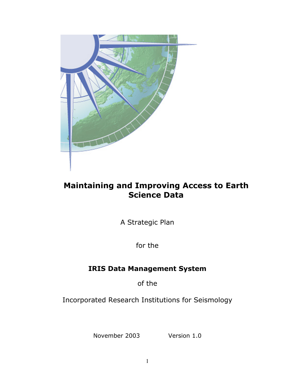

# **Maintaining and Improving Access to Earth Science Data**

A Strategic Plan

for the

# **IRIS Data Management System**

of the

Incorporated Research Institutions for Seismology

November 2003 Version 1.0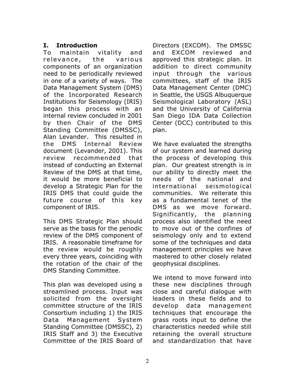# **I. Introduction**

To maintain vitality and relevance, the various components of an organization need to be periodically reviewed in one of a variety of ways. The Data Management System (DMS) of the Incorporated Research Institutions for Seismology (IRIS) began this process with an internal review concluded in 2001 by then Chair of the DMS Standing Committee (DMSSC), Alan Levander. This resulted in the DMS Internal Review document (Levander, 2001). This review recommended that instead of conducting an External Review of the DMS at that time, it would be more beneficial to develop a Strategic Plan for the IRIS DMS that could guide the future course of this key component of IRIS.

This DMS Strategic Plan should serve as the basis for the periodic review of the DMS component of IRIS. A reasonable timeframe for the review would be roughly every three years, coinciding with the rotation of the chair of the DMS Standing Committee.

This plan was developed using a streamlined process. Input was solicited from the oversight committee structure of the IRIS Consortium including 1) the IRIS Data Management System Standing Committee (DMSSC), 2) IRIS Staff and 3) the Executive Committee of the IRIS Board of

Directors (EXCOM). The DMSSC and EXCOM reviewed and approved this strategic plan. In addition to direct community input through the various committees, staff of the IRIS Data Management Center (DMC) in Seattle, the USGS Albuquerque Seismological Laboratory (ASL) and the University of California San Diego IDA Data Collection Center (DCC) contributed to this plan.

We have evaluated the strengths of our system and learned during the process of developing this plan. Our greatest strength is in our ability to directly meet the needs of the national and international seismological communities. We reiterate this as a fundamental tenet of the DMS as we move forward. Significantly, the planning process also identified the need to move out of the confines of seismology only and to extend some of the techniques and data management principles we have mastered to other closely related geophysical disciplines.

We intend to move forward into these new disciplines through close and careful dialogue with leaders in these fields and to develop data management techniques that encourage the grass roots input to define the characteristics needed while still retaining the overall structure and standardization that have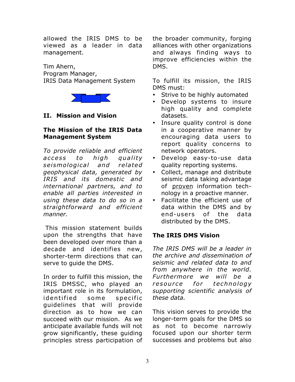allowed the IRIS DMS to be viewed as a leader in data management.

Tim Ahern, Program Manager, IRIS Data Management System



# **II. Mission and Vision**

#### **The Mission of the IRIS Data Management System**

*To provide reliable and efficient access to high quality seismological and related geophysical data, generated by IRIS and its domestic and international partners, and to enable all parties interested in using these data to do so in a straightforward and efficient manner.*

This mission statement builds upon the strengths that have been developed over more than a decade and identifies new, shorter-term directions that can serve to guide the DMS.

In order to fulfill this mission, the IRIS DMSSC, who played an important role in its formulation, identified some specific guidelines that will provide direction as to how we can succeed with our mission. As we anticipate available funds will not grow significantly, these guiding principles stress participation of the broader community, forging alliances with other organizations and always finding ways to improve efficiencies within the DMS.

To fulfill its mission, the IRIS DMS must:

Strive to be highly automated Develop systems to insure high quality and complete datasets.

Insure quality control is done in a cooperative manner by encouraging data users to report quality concerns to network operators.

Develop easy-to-use data quality reporting systems.

Collect, manage and distribute seismic data taking advantage of proven information technology in a proactive manner. Facilitate the efficient use of data within the DMS and by end-users of the data distributed by the DMS.

## **The IRIS DMS Vision**

*The IRIS DMS will be a leader in the archive and dissemination of seismic and related data to and from anywhere in the world. Furthermore we will be a resource for technology supporting scientific analysis of these data.*

This vision serves to provide the longer-term goals for the DMS so as not to become narrowly focused upon our shorter term successes and problems but also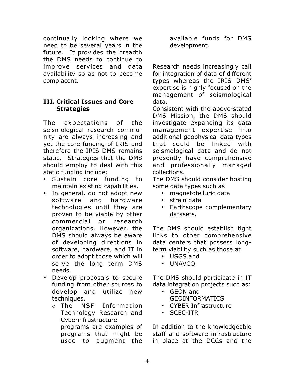continually looking where we need to be several years in the future. It provides the breadth the DMS needs to continue to improve services and data availability so as not to become complacent.

#### **III. Critical Issues and Core Strategies**

The expectations of the seismological research community are always increasing and yet the core funding of IRIS and therefore the IRIS DMS remains static. Strategies that the DMS should employ to deal with this static funding include:

Sustain core funding to maintain existing capabilities. In general, do not adopt new software and hardware technologies until they are proven to be viable by other commercial or research organizations. However, the DMS should always be aware of developing directions in software, hardware, and IT in order to adopt those which will serve the long term DMS needs.

Develop proposals to secure funding from other sources to develop and utilize new techniques.

o The NSF Information Technology Research and Cyberinfrastructure programs are examples of programs that might be used to augment the available funds for DMS development.

Research needs increasingly call for integration of data of different types whereas the IRIS DMS' expertise is highly focused on the management of seismological data.

Consistent with the above-stated DMS Mission, the DMS should investigate expanding its data management expertise into additional geophysical data types that could be linked with seismological data and do not presently have comprehensive and professionally managed collections.

The DMS should consider hosting some data types such as

magnetotelluric data strain data Earthscope complementary datasets.

The DMS should establish tight links to other comprehensive data centers that possess longterm viability such as those at

> USGS and UNAVCO.

The DMS should participate in IT data integration projects such as: GEON and

GEOINFORMATICS CYBER Infrastructure SCEC-ITR

In addition to the knowledgeable staff and software infrastructure in place at the DCCs and the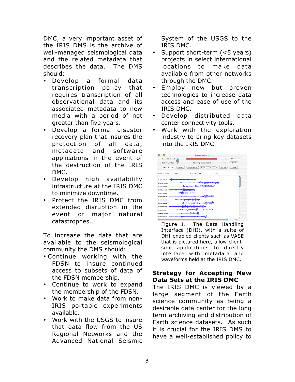DMC, a very important asset of the IRIS DMS is the archive of well-managed seismological data and the related metadata that describes the data. The DMS should:

Develop a formal data transcription policy that requires transcription of all observational data and its associated metadata to new media with a period of not greater than five years.

Develop a formal disaster recovery plan that insures the protection of all data, metadata and software applications in the event of the destruction of the IRIS DMC.

Develop high availability infrastructure at the IRIS DMC to minimize downtime.

Protect the IRIS DMC from extended disruption in the event of major natural catastrophes.

To increase the data that are available to the seismological community the DMS should:

- Continue working with the FDSN to insure continued access to subsets of data of the FDSN membership.
	- Continue to work to expand the membership of the FDSN.
	- Work to make data from non-IRIS portable experiments available.

Work with the USGS to insure that data flow from the US Regional Networks and the Advanced National Seismic System of the USGS to the IRIS DMC.

Support short-term (<5 years) projects in select international locations to make data available from other networks through the DMC.

Employ new but proven technologies to increase data access and ease of use of the IRIS DMC.

Develop distributed data center connectivity tools.

Work with the exploration industry to bring key datasets into the IRIS DMC.



Figure 1. The Data Handling Interface (DHI), with a suite of DHI-enabled clients such as VASE that is pictured here, allow clientside applications to directly interface with metadata and waveforms held at the IRIS DMC.

## **Strategy for Accepting New Data Sets at the IRIS DMC**

The IRIS DMC is viewed by a large segment of the Earth science community as being a desirable data center for the long term archiving and distribution of Earth science datasets. As such it is crucial for the IRIS DMS to have a well-established policy to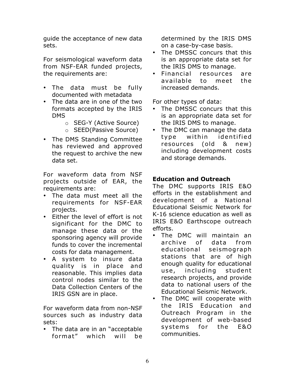guide the acceptance of new data sets.

For seismological waveform data from NSF-EAR funded projects, the requirements are:

The data must be fully documented with metadata The data are in one of the two formats accepted by the IRIS DMS

o SEG-Y (Active Source)

o SEED(Passive Source)

The DMS Standing Committee has reviewed and approved the request to archive the new data set.

For waveform data from NSF projects outside of EAR, the requirements are:

The data must meet all the requirements for NSF-EAR projects.

Either the level of effort is not significant for the DMC to manage these data or the sponsoring agency will provide funds to cover the incremental costs for data management.

A system to insure data quality is in place and reasonable. This implies data control nodes similar to the Data Collection Centers of the IRIS GSN are in place.

For waveform data from non-NSF sources such as industry data sets:

The data are in an "acceptable format" which will be determined by the IRIS DMS on a case-by-case basis. The DMSSC concurs that this is an appropriate data set for the IRIS DMS to manage. Financial resources are available to meet the increased demands.

For other types of data:

The DMSSC concurs that this is an appropriate data set for the IRIS DMS to manage.

The DMC can manage the data type within identified resources (old & new) including development costs and storage demands.

# **Education and Outreach**

The DMC supports IRIS E&O efforts in the establishment and development of a National Educational Seismic Network for K-16 science education as well as IRIS E&O Earthscope outreach efforts.

The DMC will maintain an archive of data from educational seismograph stations that are of high enough quality for educational use, including student research projects, and provide data to national users of the Educational Seismic Network. The DMC will cooperate with the IRIS Education and Outreach Program in the development of web-based systems for the E&O communities.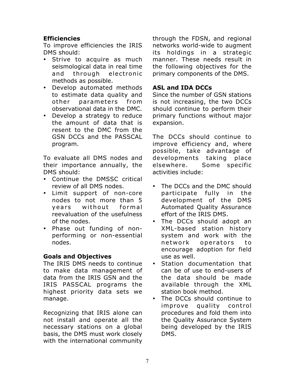# **Efficiencies**

To improve efficiencies the IRIS DMS should:

Strive to acquire as much seismological data in real time and through electronic methods as possible.

Develop automated methods to estimate data quality and other parameters from observational data in the DMC. Develop a strategy to reduce the amount of data that is resent to the DMC from the GSN DCCs and the PASSCAL program.

To evaluate all DMS nodes and their importance annually, the DMS should:

Continue the DMSSC critical review of all DMS nodes.

Limit support of non-core nodes to not more than 5 years without formal reevaluation of the usefulness of the nodes.

Phase out funding of nonperforming or non-essential nodes.

## **Goals and Objectives**

The IRIS DMS needs to continue to make data management of data from the IRIS GSN and the IRIS PASSCAL programs the highest priority data sets we manage.

Recognizing that IRIS alone can not install and operate all the necessary stations on a global basis, the DMS must work closely with the international community through the FDSN, and regional networks world-wide to augment its holdings in a strategic manner. These needs result in the following objectives for the primary components of the DMS.

# **ASL and IDA DCCs**

Since the number of GSN stations is not increasing, the two DCCs should continue to perform their primary functions without major expansion.

The DCCs should continue to improve efficiency and, where possible, take advantage of developments taking place elsewhere. Some specific activities include:

The DCCs and the DMC should participate fully in the development of the DMS Automated Quality Assurance effort of the IRIS DMS.

The DCCs should adopt an XML-based station history system and work with the network operators to encourage adoption for field use as well.

Station documentation that can be of use to end-users of the data should be made available through the XML station book method.

The DCCs should continue to improve quality control procedures and fold them into the Quality Assurance System being developed by the IRIS DMS.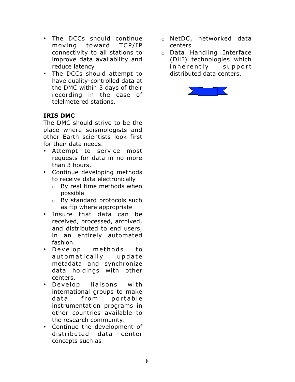The DCCs should continue moving toward TCP/IP connectivity to all stations to improve data availability and reduce latency

The DCCs should attempt to have quality-controlled data at the DMC within 3 days of their recording in the case of telelmetered stations.

# **IRIS DMC**

The DMC should strive to be the place where seismologists and other Earth scientists look first for their data needs.

Attempt to service most requests for data in no more than 3 hours.

Continue developing methods to receive data electronically

- o By real time methods when possible
- o By standard protocols such as ftp where appropriate

Insure that data can be received, processed, archived, and distributed to end users, in an entirely automated fashion.

Develop methods to autom atically update metadata and synchronize data holdings with other centers.

Develop liaisons with international groups to make data from portable instrumentation programs in other countries available to the research community.

Continue the development of distributed data center concepts such as

- o NetDC, networked data centers
- o Data Handling Interface (DHI) technologies which inherently support distributed data centers.

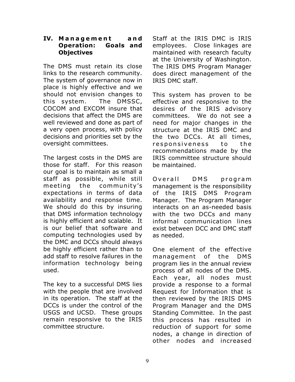#### **IV. Management and Operation: Goals and Objectives**

The DMS must retain its close links to the research community. The system of governance now in place is highly effective and we should not envision changes to this system. The DMSSC, COCOM and EXCOM insure that decisions that affect the DMS are well reviewed and done as part of a very open process, with policy decisions and priorities set by the oversight committees.

The largest costs in the DMS are those for staff. For this reason our goal is to maintain as small a staff as possible, while still meeting the community's expectations in terms of data availability and response time. We should do this by insuring that DMS information technology is highly efficient and scalable. It is our belief that software and computing technologies used by the DMC and DCCs should always be highly efficient rather than to add staff to resolve failures in the information technology being used.

The key to a successful DMS lies with the people that are involved in its operation. The staff at the DCCs is under the control of the USGS and UCSD. These groups remain responsive to the IRIS committee structure.

Staff at the IRIS DMC is IRIS employees. Close linkages are maintained with research faculty at the University of Washington. The IRIS DMS Program Manager does direct management of the IRIS DMC staff.

This system has proven to be effective and responsive to the desires of the IRIS advisory committees. We do not see a need for major changes in the structure at the IRIS DMC and the two DCCs. At all times, responsiveness to the recommendations made by the IRIS committee structure should be maintained.

Overall DMS program management is the responsibility of the IRIS DMS Program Manager. The Program Manager interacts on an as-needed basis with the two DCCs and many informal communication lines exist between DCC and DMC staff as needed.

One element of the effective management of the DMS program lies in the annual review process of all nodes of the DMS. Each year, all nodes must provide a response to a formal Request for Information that is then reviewed by the IRIS DMS Program Manager and the DMS Standing Committee. In the past this process has resulted in reduction of support for some nodes, a change in direction of other nodes and increased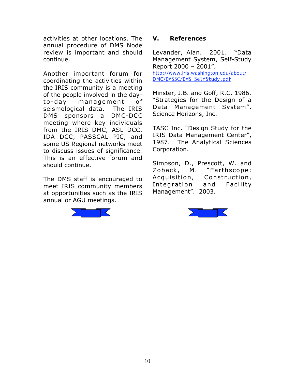activities at other locations. The annual procedure of DMS Node review is important and should continue.

Another important forum for coordinating the activities within the IRIS community is a meeting of the people involved in the dayto-day management of seismological data. The IRIS DMS sponsors a DMC-DCC meeting where key individuals from the IRIS DMC, ASL DCC, IDA DCC, PASSCAL PIC, and some US Regional networks meet to discuss issues of significance. This is an effective forum and should continue.

The DMS staff is encouraged to meet IRIS community members at opportunities such as the IRIS annual or AGU meetings.



#### **V. References**

Levander, Alan. 2001. "Data Management System, Self-Study Report 2000 – 2001". http://www.iris.washington.edu/about/ DMC/DMSSC/DMS\_SelfStudy.pdf

Minster, J.B. and Goff, R.C. 1986. "Strategies for the Design of a Data Management System". Science Horizons, Inc.

TASC Inc. "Design Study for the IRIS Data Management Center", 1987. The Analytical Sciences Corporation.

Simpson, D., Prescott, W. and Zoback, M. "Earthscope: Acquisition, Construction, Integration and Facility Management". 2003.

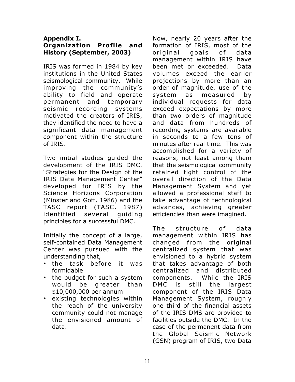#### **Appendix I. Organization Profile and History (September, 2003)**

IRIS was formed in 1984 by key institutions in the United States seismological community. While improving the community's ability to field and operate permanent and temporary seismic recording systems motivated the creators of IRIS, they identified the need to have a significant data management component within the structure of IRIS.

Two initial studies guided the development of the IRIS DMC. "Strategies for the Design of the IRIS Data Management Center" developed for IRIS by the Science Horizons Corporation (Minster and Goff, 1986) and the TASC report (TASC, 1987) identified several guiding principles for a successful DMC.

Initially the concept of a large, self-contained Data Management Center was pursued with the understanding that,

the task before it was formidable the budget for such a system would be greater than \$10,000,000 per annum existing technologies within the reach of the university community could not manage the envisioned amount of data.

Now, nearly 20 years after the formation of IRIS, most of the original goals of data management within IRIS have been met or exceeded. Data volumes exceed the earlier projections by more than an order of magnitude, use of the system as measured by individual requests for data exceed expectations by more than two orders of magnitude and data from hundreds of recording systems are available in seconds to a few tens of minutes after real time. This was accomplished for a variety of reasons, not least among them that the seismological community retained tight control of the overall direction of the Data Management System and yet allowed a professional staff to take advantage of technological advances, achieving greater efficiencies than were imagined.

The structure of data management within IRIS has changed from the original centralized system that was envisioned to a hybrid system that takes advantage of both centralized and distributed components. While the IRIS DMC is still the largest component of the IRIS Data Management System, roughly one third of the financial assets of the IRIS DMS are provided to facilities outside the DMC. In the case of the permanent data from the Global Seismic Network (GSN) program of IRIS, two Data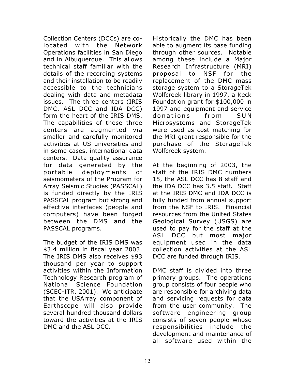Collection Centers (DCCs) are colocated with the Network Operations facilities in San Diego and in Albuquerque. This allows technical staff familiar with the details of the recording systems and their installation to be readily accessible to the technicians dealing with data and metadata issues. The three centers (IRIS DMC, ASL DCC and IDA DCC) form the heart of the IRIS DMS. The capabilities of these three centers are augmented via smaller and carefully monitored activities at US universities and in some cases, international data centers. Data quality assurance for data generated by the portable deployments of seismometers of the Program for Array Seismic Studies (PASSCAL) is funded directly by the IRIS PASSCAL program but strong and effective interfaces (people and computers) have been forged between the DMS and the PASSCAL programs.

The budget of the IRIS DMS was \$3.4 million in fiscal year 2003. The IRIS DMS also receives \$93 thousand per year to support activities within the Information Technology Research program of National Science Foundation (SCEC-ITR, 2001). We anticipate that the USArray component of Earthscope will also provide several hundred thousand dollars toward the activities at the IRIS DMC and the ASL DCC.

Historically the DMC has been able to augment its base funding through other sources. Notable among these include a Major Research Infrastructure (MRI) proposal to NSF for the replacement of the DMC mass storage system to a StorageTek Wolfcreek library in 1997, a Keck Foundation grant for \$100,000 in 1997 and equipment and service donations from SUN Microsystems and StorageTek were used as cost matching for the MRI grant responsible for the purchase of the StorageTek Wolfcreek system.

At the beginning of 2003, the staff of the IRIS DMC numbers 15, the ASL DCC has 8 staff and the IDA DCC has 3.5 staff. Staff at the IRIS DMC and IDA DCC is fully funded from annual support from the NSF to IRIS. Financial resources from the United States Geological Survey (USGS) are used to pay for the staff at the ASL DCC but most major equipment used in the data collection activities at the ASL DCC are funded through IRIS.

DMC staff is divided into three primary groups. The operations group consists of four people who are responsible for archiving data and servicing requests for data from the user community. The software engineering group consists of seven people whose responsibilities include the development and maintenance of all software used within the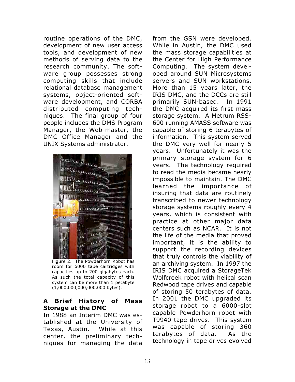routine operations of the DMC, development of new user access tools, and development of new methods of serving data to the research community. The software group possesses strong computing skills that include relational database management systems, object-oriented software development, and CORBA distributed computing techniques. The final group of four people includes the DMS Program Manager, the Web-master, the DMC Office Manager and the UNIX Systems administrator.



Figure 2. The Powderhorn Robot has room for 6000 tape cartridges with capacities up to 200 gigabytes each. As such the total capacity of this system can be more than 1 petabyte (1,000,000,000,000,000 bytes).

#### **A Brief History of Mass Storage at the DMC**

In 1988 an Interim DMC was established at the University of Texas, Austin. While at this center, the preliminary techniques for managing the data from the GSN were developed. While in Austin, the DMC used the mass storage capabilities at the Center for High Performance Computing. The system developed around SUN Microsystems servers and SUN workstations. More than 15 years later, the IRIS DMC, and the DCCs are still primarily SUN-based. In 1991 the DMC acquired its first mass storage system. A Metrum RSS-600 running AMASS software was capable of storing 6 terabytes of information. This system served the DMC very well for nearly 5 years. Unfortunately it was the primary storage system for 6 years. The technology required to read the media became nearly impossible to maintain. The DMC learned the importance of insuring that data are routinely transcribed to newer technology storage systems roughly every 4 years, which is consistent with practice at other major data centers such as NCAR. It is not the life of the media that proved important, it is the ability to support the recording devices that truly controls the viability of an archiving system. In 1997 the IRIS DMC acquired a StorageTek Wolfcreek robot with helical scan Redwood tape drives and capable of storing 50 terabytes of data. In 2001 the DMC upgraded its storage robot to a 6000-slot capable Powderhorn robot with T9940 tape drives. This system was capable of storing 360 terabytes of data. As the technology in tape drives evolved